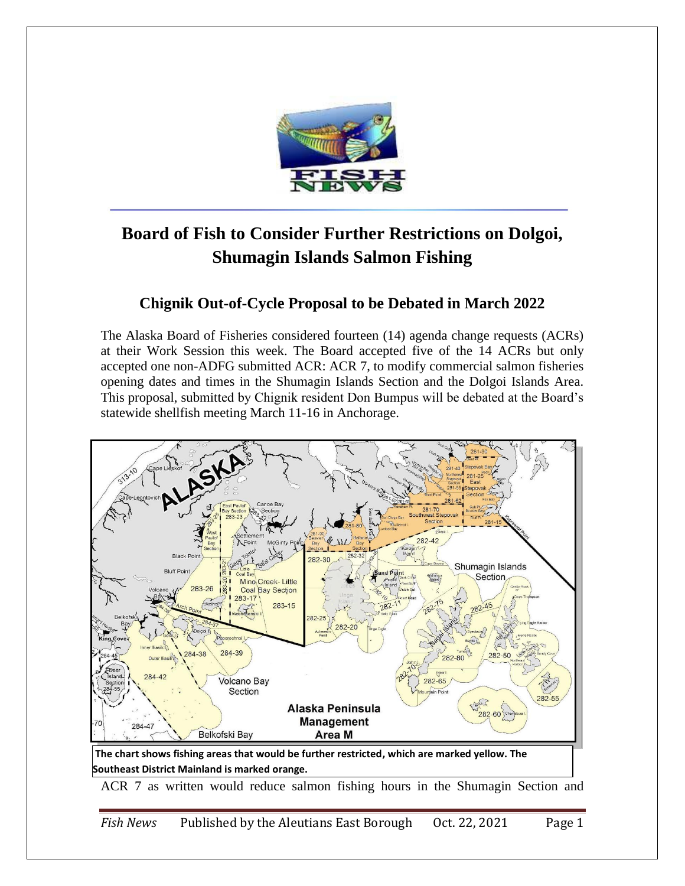

## **Board of Fish to Consider Further Restrictions on Dolgoi, Shumagin Islands Salmon Fishing**

## **Chignik Out-of-Cycle Proposal to be Debated in March 2022**

The Alaska Board of Fisheries considered fourteen (14) agenda change requests (ACRs) at their Work Session this week. The Board accepted five of the 14 ACRs but only accepted one non-ADFG submitted ACR: ACR 7, to modify commercial salmon fisheries opening dates and times in the Shumagin Islands Section and the Dolgoi Islands Area. This proposal, submitted by Chignik resident Don Bumpus will be debated at the Board's statewide shellfish meeting March 11-16 in Anchorage.



**Southeast District Mainland is marked orange.** 

ACR 7 as written would reduce salmon fishing hours in the Shumagin Section and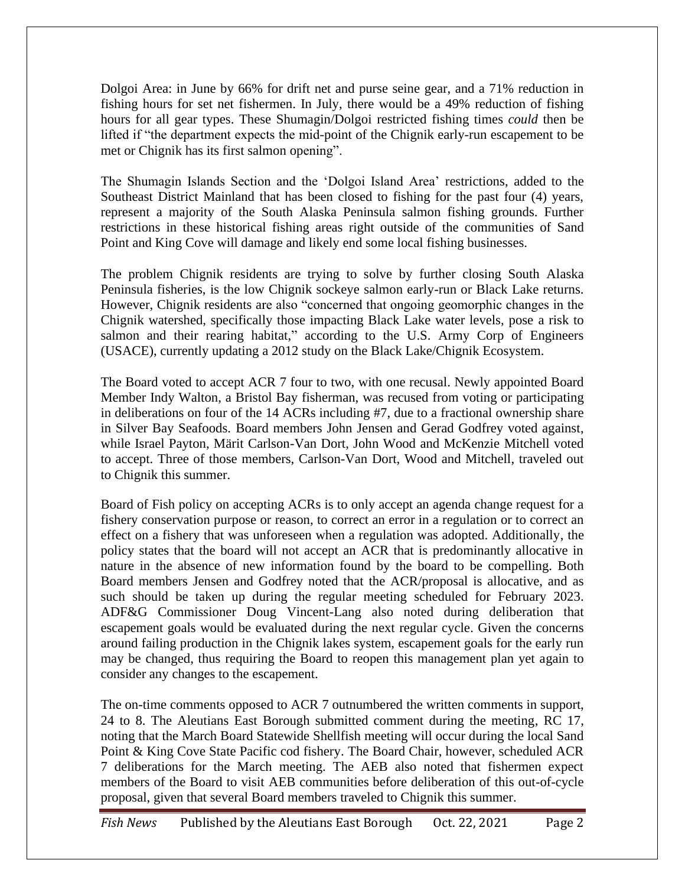Dolgoi Area: in June by 66% for drift net and purse seine gear, and a 71% reduction in fishing hours for set net fishermen. In July, there would be a 49% reduction of fishing hours for all gear types. These Shumagin/Dolgoi restricted fishing times *could* then be lifted if "the department expects the mid-point of the Chignik early-run escapement to be met or Chignik has its first salmon opening".

The Shumagin Islands Section and the 'Dolgoi Island Area' restrictions, added to the Southeast District Mainland that has been closed to fishing for the past four (4) years, represent a majority of the South Alaska Peninsula salmon fishing grounds. Further restrictions in these historical fishing areas right outside of the communities of Sand Point and King Cove will damage and likely end some local fishing businesses.

The problem Chignik residents are trying to solve by further closing South Alaska Peninsula fisheries, is the low Chignik sockeye salmon early-run or Black Lake returns. However, Chignik residents are also "concerned that ongoing geomorphic changes in the Chignik watershed, specifically those impacting Black Lake water levels, pose a risk to salmon and their rearing habitat," according to the U.S. Army Corp of Engineers (USACE), currently updating a 2012 study on the Black Lake/Chignik Ecosystem.

The Board voted to accept ACR 7 four to two, with one recusal. Newly appointed Board Member Indy Walton, a Bristol Bay fisherman, was recused from voting or participating in deliberations on four of the 14 ACRs including #7, due to a fractional ownership share in Silver Bay Seafoods. Board members John Jensen and Gerad Godfrey voted against, while Israel Payton, Märit Carlson-Van Dort, John Wood and McKenzie Mitchell voted to accept. Three of those members, Carlson-Van Dort, Wood and Mitchell, traveled out to Chignik this summer.

Board of Fish policy on accepting ACRs is to only accept an agenda change request for a fishery conservation purpose or reason, to correct an error in a regulation or to correct an effect on a fishery that was unforeseen when a regulation was adopted. Additionally, the policy states that the board will not accept an ACR that is predominantly allocative in nature in the absence of new information found by the board to be compelling. Both Board members Jensen and Godfrey noted that the ACR/proposal is allocative, and as such should be taken up during the regular meeting scheduled for February 2023. ADF&G Commissioner Doug Vincent-Lang also noted during deliberation that escapement goals would be evaluated during the next regular cycle. Given the concerns around failing production in the Chignik lakes system, escapement goals for the early run may be changed, thus requiring the Board to reopen this management plan yet again to consider any changes to the escapement.

The on-time comments opposed to ACR 7 outnumbered the written comments in support, 24 to 8. The Aleutians East Borough submitted comment during the meeting, RC 17, noting that the March Board Statewide Shellfish meeting will occur during the local Sand Point & King Cove State Pacific cod fishery. The Board Chair, however, scheduled ACR 7 deliberations for the March meeting. The AEB also noted that fishermen expect members of the Board to visit AEB communities before deliberation of this out-of-cycle proposal, given that several Board members traveled to Chignik this summer.